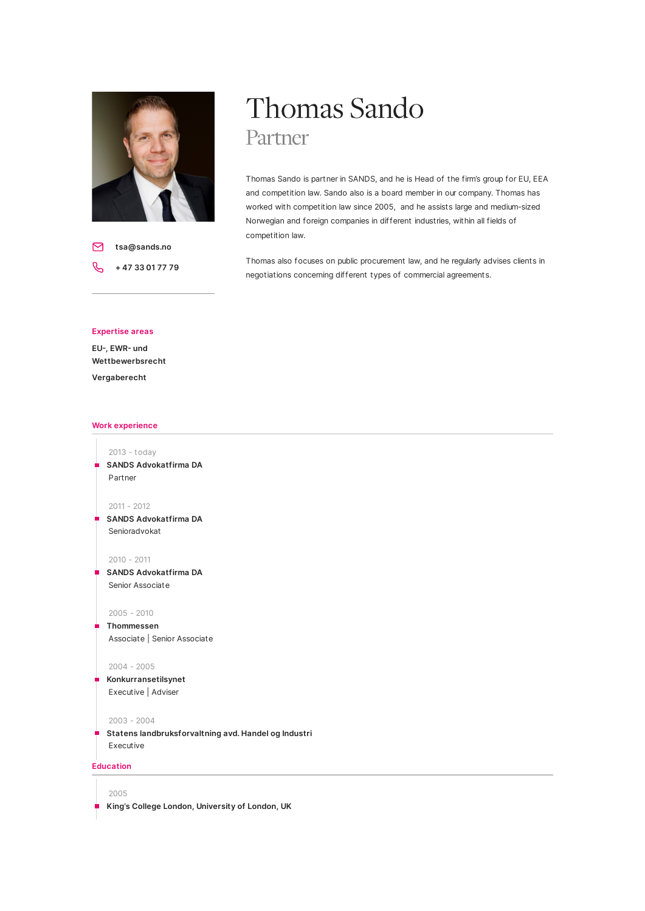

**tsa@sands.no** ⊠ **+ 47 33 01 77 79**

# Thomas Sando Partner

Thomas Sando is partner in SANDS, and he is Head of the firm's group for EU, EEA and competition law. Sando also is a board member in our company. Thomas has worked with competition law since 2005, and he assists large and medium-sized Norwegian and foreign companies in different industries, within all fields of competition law.

Thomas also focuses on public procurement law, and he regularly advises clients in negotiations concerning different types of commercial agreements.

### **Expertise areas**

EU-, **EWR-** und **Wettbewerbsrecht Vergaberecht**

# **Work experience**

2013 - today **SANDS Advokatfirma DA** Partner

2011 - 2012

**SANDS Advokatfirma DA** Senioradvokat

2010 - 2011

**SANDS Advokatfirma DA** Senior Associate

#### 2005 - 2010

**Thommessen**

Associate | Senior Associate

#### 2004 - 2005

```
Konkurransetilsynet
Executive | Adviser
```
#### 2003 - 2004

**Statens landbruksforvaltning avd. Handel og Industri** Executive

# **Education**

2005

**King's College London, University of London, UK**